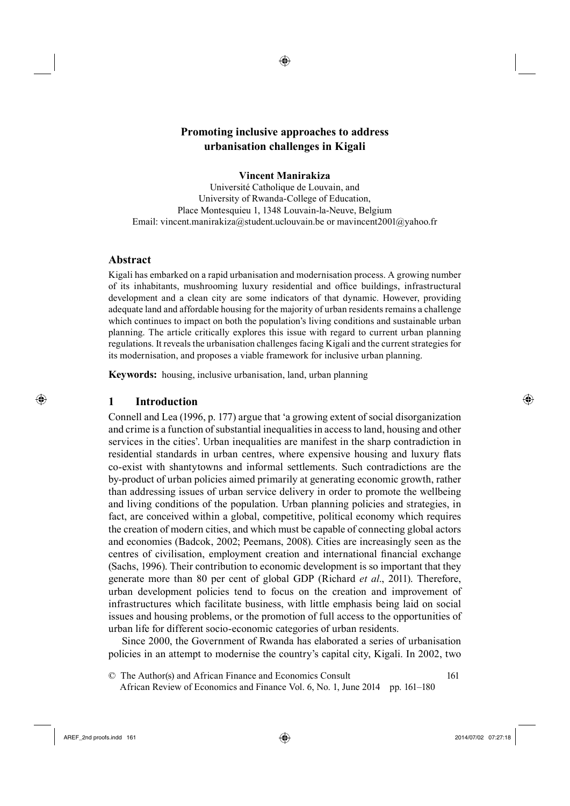◈

## **Vincent Manirakiza**

Université Catholique de Louvain, and University of Rwanda-College of Education, Place Montesquieu 1, 1348 Louvain-la-Neuve, Belgium Email: vincent.manirakiza@student.uclouvain.be or mavincent2001@yahoo.fr

## **Abstract**

Kigali has embarked on a rapid urbanisation and modernisation process. A growing number of its inhabitants, mushrooming luxury residential and office buildings, infrastructural development and a clean city are some indicators of that dynamic. However, providing adequate land and affordable housing for the majority of urban residents remains a challenge which continues to impact on both the population's living conditions and sustainable urban planning. The article critically explores this issue with regard to current urban planning regulations. It reveals the urbanisation challenges facing Kigali and the current strategies for its modernisation, and proposes a viable framework for inclusive urban planning.

**Keywords:** housing, inclusive urbanisation, land, urban planning

## **1 Introduction**

⊕

Connell and Lea (1996, p. 177) argue that 'a growing extent of social disorganization and crime is a function of substantial inequalities in access to land, housing and other services in the cities'. Urban inequalities are manifest in the sharp contradiction in residential standards in urban centres, where expensive housing and luxury flats co-exist with shantytowns and informal settlements. Such contradictions are the by-product of urban policies aimed primarily at generating economic growth, rather than addressing issues of urban service delivery in order to promote the wellbeing and living conditions of the population. Urban planning policies and strategies, in fact, are conceived within a global, competitive, political economy which requires the creation of modern cities, and which must be capable of connecting global actors and economies (Badcok, 2002; Peemans, 2008). Cities are increasingly seen as the centres of civilisation, employment creation and international financial exchange (Sachs, 1996). Their contribution to economic development is so important that they generate more than 80 per cent of global GDP (Richard *et al*., 2011). Therefore, urban development policies tend to focus on the creation and improvement of infrastructures which facilitate business, with little emphasis being laid on social issues and housing problems, or the promotion of full access to the opportunities of urban life for different socio-economic categories of urban residents.

209Since 2000, the Government of Rwanda has elaborated a series of urbanisation policies in an attempt to modernise the country's capital city, Kigali. In 2002, two

35© The Author(s) and African Finance and Economics Consult 161 36 African Review of Economics and Finance Vol. 6, No. 1, June 2014 pp. 161–180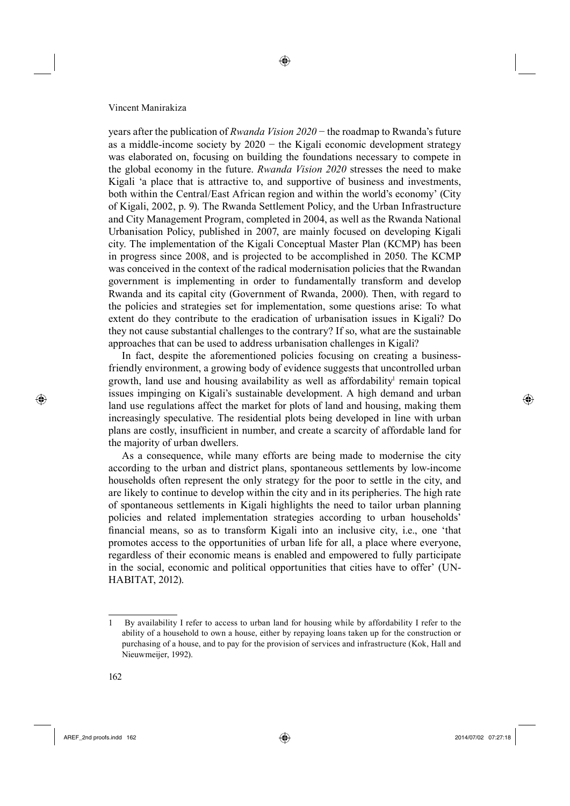years after the publication of *Rwanda Vision 2020* − the roadmap to Rwanda's future as a middle-income society by  $2020 -$  the Kigali economic development strategy was elaborated on, focusing on building the foundations necessary to compete in the global economy in the future. *Rwanda Vision 2020* stresses the need to make Kigali 'a place that is attractive to, and supportive of business and investments, both within the Central/East African region and within the world's economy' (City of Kigali, 2002, p. 9). The Rwanda Settlement Policy, and the Urban Infrastructure and City Management Program, completed in 2004, as well as the Rwanda National Urbanisation Policy, published in 2007, are mainly focused on developing Kigali city. The implementation of the Kigali Conceptual Master Plan (KCMP) has been in progress since 2008, and is projected to be accomplished in 2050. The KCMP was conceived in the context of the radical modernisation policies that the Rwandan government is implementing in order to fundamentally transform and develop Rwanda and its capital city (Government of Rwanda, 2000). Then, with regard to the policies and strategies set for implementation, some questions arise: To what extent do they contribute to the eradication of urbanisation issues in Kigali? Do they not cause substantial challenges to the contrary? If so, what are the sustainable approaches that can be used to address urbanisation challenges in Kigali?

In fact, despite the aforementioned policies focusing on creating a businessfriendly environment, a growing body of evidence suggests that uncontrolled urban growth, land use and housing availability as well as affordability<sup>1</sup> remain topical issues impinging on Kigali's sustainable development. A high demand and urban land use regulations affect the market for plots of land and housing, making them increasingly speculative. The residential plots being developed in line with urban plans are costly, insufficient in number, and create a scarcity of affordable land for the majority of urban dwellers.

As a consequence, while many efforts are being made to modernise the city according to the urban and district plans, spontaneous settlements by low-income households often represent the only strategy for the poor to settle in the city, and are likely to continue to develop within the city and in its peripheries. The high rate of spontaneous settlements in Kigali highlights the need to tailor urban planning policies and related implementation strategies according to urban households' financial means, so as to transform Kigali into an inclusive city, i.e., one 'that promotes access to the opportunities of urban life for all, a place where everyone, regardless of their economic means is enabled and empowered to fully participate in the social, economic and political opportunities that cities have to offer' (UN-HABITAT, 2012).

 $AREF\_2$ nd proofs.indd 162 2014/07/02 07:27:18

⊕

<sup>1</sup> By availability I refer to access to urban land for housing while by affordability I refer to the ability of a household to own a house, either by repaying loans taken up for the construction or purchasing of a house, and to pay for the provision of services and infrastructure (Kok, Hall and Nieuwmeijer, 1992).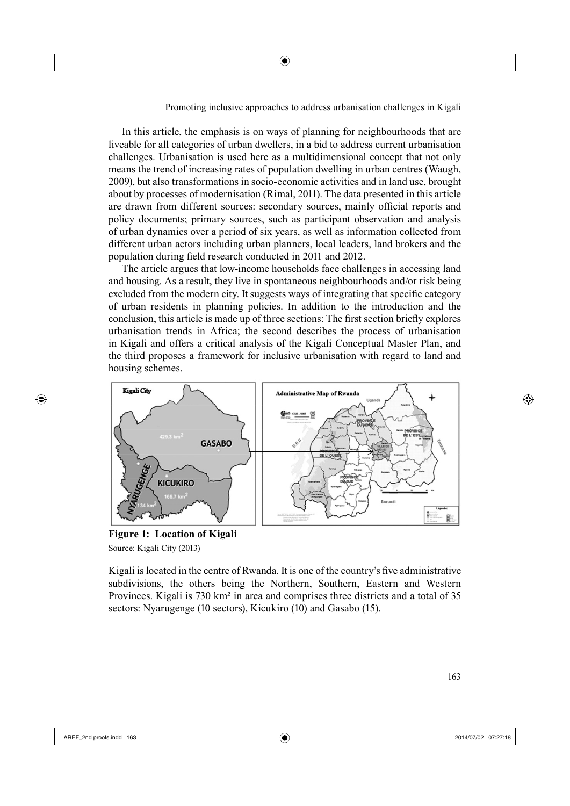In this article, the emphasis is on ways of planning for neighbourhoods that are liveable for all categories of urban dwellers, in a bid to address current urbanisation challenges. Urbanisation is used here as a multidimensional concept that not only means the trend of increasing rates of population dwelling in urban centres (Waugh, 2009), but also transformations in socio-economic activities and in land use, brought about by processes of modernisation (Rimal, 2011). The data presented in this article are drawn from different sources: secondary sources, mainly official reports and policy documents; primary sources, such as participant observation and analysis of urban dynamics over a period of six years, as well as information collected from different urban actors including urban planners, local leaders, land brokers and the population during field research conducted in 2011 and 2012.

◈

The article argues that low-income households face challenges in accessing land and housing. As a result, they live in spontaneous neighbourhoods and/or risk being excluded from the modern city. It suggests ways of integrating that specific category of urban residents in planning policies. In addition to the introduction and the conclusion, this article is made up of three sections: The first section briefly explores urbanisation trends in Africa; the second describes the process of urbanisation in Kigali and offers a critical analysis of the Kigali Conceptual Master Plan, and the third proposes a framework for inclusive urbanisation with regard to land and housing schemes.



**Figure 1: Location of Kigali** Source: Kigali City (2013)

Kigali is located in the centre of Rwanda. It is one of the country's five administrative subdivisions, the others being the Northern, Southern, Eastern and Western Provinces. Kigali is 730 km² in area and comprises three districts and a total of 35 sectors: Nyarugenge (10 sectors), Kicukiro (10) and Gasabo (15).

⊕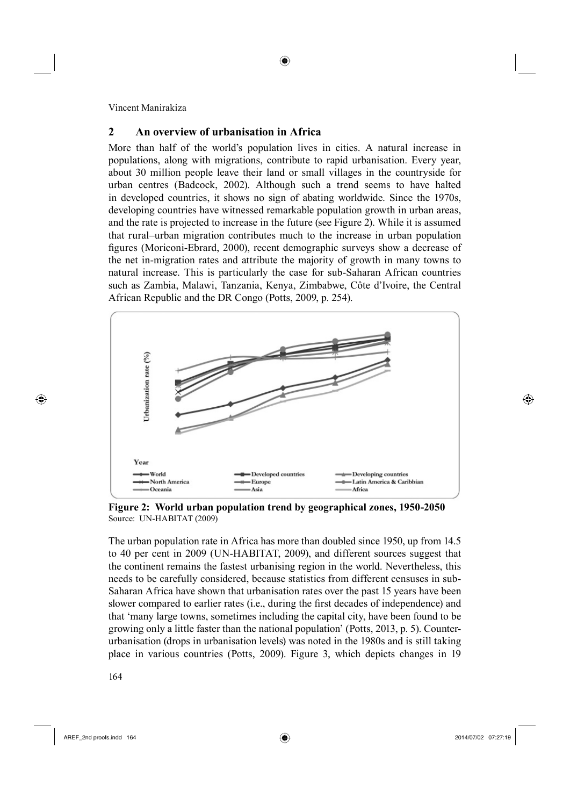# **2 An overview of urbanisation in Africa**

More than half of the world's population lives in cities. A natural increase in populations, along with migrations, contribute to rapid urbanisation. Every year, about 30 million people leave their land or small villages in the countryside for urban centres (Badcock, 2002). Although such a trend seems to have halted in developed countries, it shows no sign of abating worldwide. Since the 1970s, developing countries have witnessed remarkable population growth in urban areas, and the rate is projected to increase in the future (see Figure 2). While it is assumed that rural–urban migration contributes much to the increase in urban population figures (Moriconi-Ebrard, 2000), recent demographic surveys show a decrease of the net in-migration rates and attribute the majority of growth in many towns to natural increase. This is particularly the case for sub-Saharan African countries such as Zambia, Malawi, Tanzania, Kenya, Zimbabwe, Côte d'Ivoire, the Central African Republic and the DR Congo (Potts, 2009, p. 254).

◈



**Figure 2: World urban population trend by geographical zones, 1950-2050** Source: UN-HABITAT (2009)

The urban population rate in Africa has more than doubled since 1950, up from 14.5 to 40 per cent in 2009 (UN-HABITAT, 2009), and different sources suggest that the continent remains the fastest urbanising region in the world. Nevertheless, this needs to be carefully considered, because statistics from different censuses in sub-Saharan Africa have shown that urbanisation rates over the past 15 years have been slower compared to earlier rates (i.e., during the first decades of independence) and that 'many large towns, sometimes including the capital city, have been found to be growing only a little faster than the national population' (Potts, 2013, p. 5). Counterurbanisation (drops in urbanisation levels) was noted in the 1980s and is still taking place in various countries (Potts, 2009). Figure 3, which depicts changes in 19

5164

⊕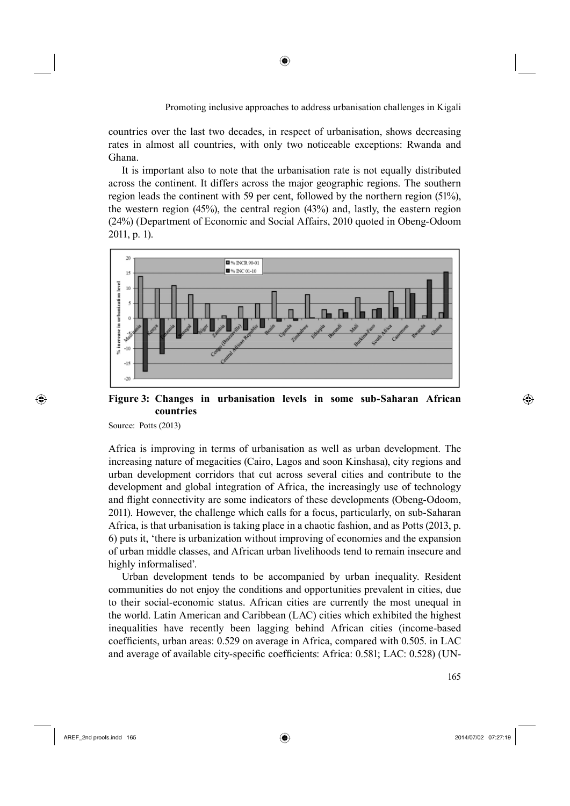countries over the last two decades, in respect of urbanisation, shows decreasing rates in almost all countries, with only two noticeable exceptions: Rwanda and Ghana.

It is important also to note that the urbanisation rate is not equally distributed across the continent. It differs across the major geographic regions. The southern region leads the continent with 59 per cent, followed by the northern region (51%), the western region (45%), the central region (43%) and, lastly, the eastern region (24%) (Department of Economic and Social Affairs, 2010 quoted in Obeng-Odoom 2011, p. 1).



## **Figure 3: Changes in urbanisation levels in some sub-Saharan African countries**

Source: Potts (2013)

⊕

Africa is improving in terms of urbanisation as well as urban development. The increasing nature of megacities (Cairo, Lagos and soon Kinshasa), city regions and urban development corridors that cut across several cities and contribute to the development and global integration of Africa, the increasingly use of technology and flight connectivity are some indicators of these developments (Obeng-Odoom, 2011). However, the challenge which calls for a focus, particularly, on sub-Saharan Africa, is that urbanisation is taking place in a chaotic fashion, and as Potts (2013, p. 6) puts it, 'there is urbanization without improving of economies and the expansion of urban middle classes, and African urban livelihoods tend to remain insecure and highly informalised'.

215Urban development tends to be accompanied by urban inequality. Resident communities do not enjoy the conditions and opportunities prevalent in cities, due to their social-economic status. African cities are currently the most unequal in the world. Latin American and Caribbean (LAC) cities which exhibited the highest inequalities have recently been lagging behind African cities (income-based coefficients, urban areas: 0.529 on average in Africa, compared with 0.505. in LAC and average of available city-specific coefficients: Africa: 0.581; LAC: 0.528) (UN-

 $\sim$  165

AREF\_2nd proofs.indd 165 2014/07/02 07:27:19

⊕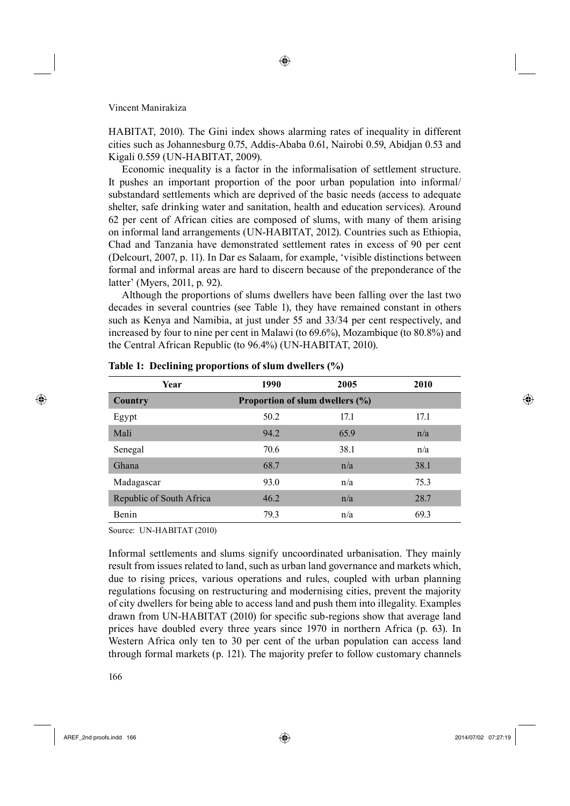HABITAT, 2010). The Gini index shows alarming rates of inequality in different cities such as Johannesburg 0.75, Addis-Ababa 0.61, Nairobi 0.59, Abidjan 0.53 and Kigali 0.559 (UN-HABITAT, 2009).

Economic inequality is a factor in the informalisation of settlement structure. It pushes an important proportion of the poor urban population into informal/ substandard settlements which are deprived of the basic needs (access to adequate shelter, safe drinking water and sanitation, health and education services). Around 62 per cent of African cities are composed of slums, with many of them arising on informal land arrangements (UN-HABITAT, 2012). Countries such as Ethiopia, Chad and Tanzania have demonstrated settlement rates in excess of 90 per cent (Delcourt, 2007, p. 11). In Dar es Salaam, for example, 'visible distinctions between formal and informal areas are hard to discern because of the preponderance of the latter' (Myers, 2011, p. 92).

Although the proportions of slums dwellers have been falling over the last two decades in several countries (see Table 1), they have remained constant in others such as Kenya and Namibia, at just under 55 and 33/34 per cent respectively, and increased by four to nine per cent in Malawi (to 69.6%), Mozambique (to 80.8%) and the Central African Republic (to 96.4%) (UN-HABITAT, 2010).

| Year                     | 1990                            | 2005 | 2010 |  |
|--------------------------|---------------------------------|------|------|--|
| Country                  | Proportion of slum dwellers (%) |      |      |  |
| Egypt                    | 50.2                            | 17.1 | 17.1 |  |
| Mali                     | 94.2                            | 65.9 | n/a  |  |
| Senegal                  | 70.6                            | 38.1 | n/a  |  |
| Ghana                    | 68.7                            | n/a  | 38.1 |  |
| Madagascar               | 93.0                            | n/a  | 75.3 |  |
| Republic of South Africa | 46.2                            | n/a  | 28.7 |  |
| Benin                    | 79.3                            | n/a  | 69.3 |  |
|                          |                                 |      |      |  |

**Table 1: Declining proportions of slum dwellers (%)**

Source: UN-HABITAT (2010)

Informal settlements and slums signify uncoordinated urbanisation. They mainly result from issues related to land, such as urban land governance and markets which, due to rising prices, various operations and rules, coupled with urban planning regulations focusing on restructuring and modernising cities, prevent the majority of city dwellers for being able to access land and push them into illegality. Examples drawn from UN-HABITAT (2010) for specific sub-regions show that average land prices have doubled every three years since 1970 in northern Africa (p. 63). In Western Africa only ten to 30 per cent of the urban population can access land through formal markets (p. 121). The majority prefer to follow customary channels

AREF\_2nd proofs.indd 166 2014/07/02 07:27:19

⊕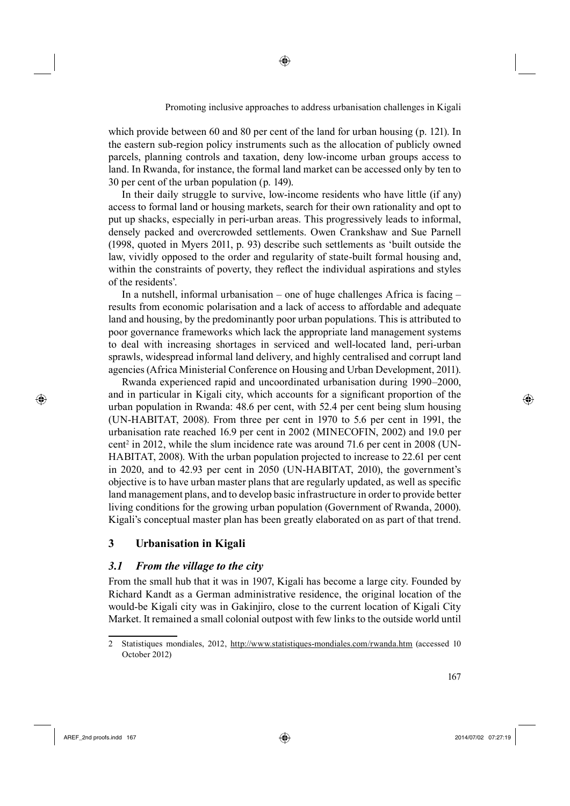which provide between 60 and 80 per cent of the land for urban housing (p. 121). In the eastern sub-region policy instruments such as the allocation of publicly owned parcels, planning controls and taxation, deny low-income urban groups access to land. In Rwanda, for instance, the formal land market can be accessed only by ten to 30 per cent of the urban population (p. 149).

◈

In their daily struggle to survive, low-income residents who have little (if any) access to formal land or housing markets, search for their own rationality and opt to put up shacks, especially in peri-urban areas. This progressively leads to informal, densely packed and overcrowded settlements. Owen Crankshaw and Sue Parnell (1998, quoted in Myers 2011, p. 93) describe such settlements as 'built outside the law, vividly opposed to the order and regularity of state-built formal housing and, within the constraints of poverty, they reflect the individual aspirations and styles of the residents'.

In a nutshell, informal urbanisation – one of huge challenges Africa is facing  $$ results from economic polarisation and a lack of access to affordable and adequate land and housing, by the predominantly poor urban populations. This is attributed to poor governance frameworks which lack the appropriate land management systems to deal with increasing shortages in serviced and well-located land, peri-urban sprawls, widespread informal land delivery, and highly centralised and corrupt land agencies (Africa Ministerial Conference on Housing and Urban Development, 2011).

220Rwanda experienced rapid and uncoordinated urbanisation during 1990–2000, and in particular in Kigali city, which accounts for a significant proportion of the urban population in Rwanda: 48.6 per cent, with 52.4 per cent being slum housing (UN-HABITAT, 2008). From three per cent in 1970 to 5.6 per cent in 1991, the urbanisation rate reached 16.9 per cent in 2002 (MINECOFIN, 2002) and 19.0 per  $cent<sup>2</sup>$  in 2012, while the slum incidence rate was around 71.6 per cent in 2008 (UN-HABITAT, 2008). With the urban population projected to increase to 22.61 per cent in 2020, and to 42.93 per cent in 2050 (UN-HABITAT, 2010), the government's objective is to have urban master plans that are regularly updated, as well as specific land management plans, and to develop basic infrastructure in order to provide better living conditions for the growing urban population (Government of Rwanda, 2000). Kigali's conceptual master plan has been greatly elaborated on as part of that trend.

# **3 Urbanisation in Kigali**

## *3.1 From the village to the city*

From the small hub that it was in 1907, Kigali has become a large city. Founded by Richard Kandt as a German administrative residence, the original location of the would-be Kigali city was in Gakinjiro, close to the current location of Kigali City Market. It remained a small colonial outpost with few links to the outside world until

AREF\_2nd proofs.indd 167 2014/07/02 07:27:19

⊕

<sup>2</sup> Statistiques mondiales, 2012, http://www.statistiques-mondiales.com/rwanda.htm (accessed 10 October 2012)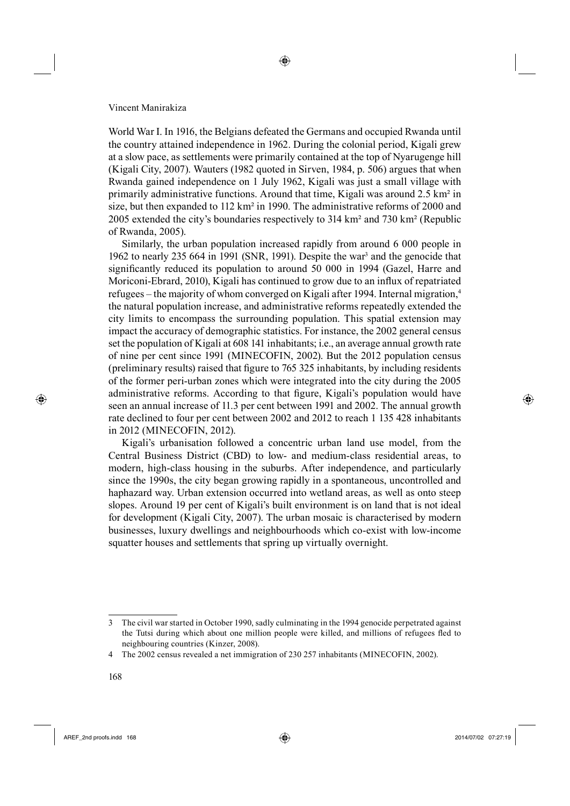World War I. In 1916, the Belgians defeated the Germans and occupied Rwanda until the country attained independence in 1962. During the colonial period, Kigali grew at a slow pace, as settlements were primarily contained at the top of Nyarugenge hill (Kigali City, 2007). Wauters (1982 quoted in Sirven, 1984, p. 506) argues that when Rwanda gained independence on 1 July 1962, Kigali was just a small village with primarily administrative functions. Around that time, Kigali was around 2.5 km² in size, but then expanded to  $112 \text{ km}^2$  in 1990. The administrative reforms of 2000 and 2005 extended the city's boundaries respectively to 314 km² and 730 km² (Republic of Rwanda, 2005).

Similarly, the urban population increased rapidly from around 6 000 people in 1962 to nearly 235 664 in 1991 (SNR, 1991). Despite the war<sup>3</sup> and the genocide that significantly reduced its population to around 50 000 in 1994 (Gazel, Harre and Moriconi-Ebrard, 2010), Kigali has continued to grow due to an influx of repatriated refugees – the majority of whom converged on Kigali after 1994. Internal migration,<sup>4</sup> the natural population increase, and administrative reforms repeatedly extended the city limits to encompass the surrounding population. This spatial extension may impact the accuracy of demographic statistics. For instance, the 2002 general census set the population of Kigali at 608 141 inhabitants; i.e., an average annual growth rate of nine per cent since 1991 (MINECOFIN, 2002). But the 2012 population census (preliminary results) raised that figure to  $765$  325 inhabitants, by including residents of the former peri-urban zones which were integrated into the city during the 2005 administrative reforms. According to that figure, Kigali's population would have seen an annual increase of 11.3 per cent between 1991 and 2002. The annual growth rate declined to four per cent between 2002 and 2012 to reach 1 135 428 inhabitants in 2012 (MINECOFIN, 2012).

Kigali's urbanisation followed a concentric urban land use model, from the Central Business District (CBD) to low- and medium-class residential areas, to modern, high-class housing in the suburbs. After independence, and particularly since the 1990s, the city began growing rapidly in a spontaneous, uncontrolled and haphazard way. Urban extension occurred into wetland areas, as well as onto steep slopes. Around 19 per cent of Kigali's built environment is on land that is not ideal for development (Kigali City, 2007). The urban mosaic is characterised by modern businesses, luxury dwellings and neighbourhoods which co-exist with low-income squatter houses and settlements that spring up virtually overnight.

AREF\_2nd proofs.indd 168 2014/07/02 07:27:19

⊕

<sup>3</sup> The civil war started in October 1990, sadly culminating in the 1994 genocide perpetrated against the Tutsi during which about one million people were killed, and millions of refugees fled to neighbouring countries (Kinzer, 2008).

<sup>4</sup> The 2002 census revealed a net immigration of 230 257 inhabitants (MINECOFIN, 2002).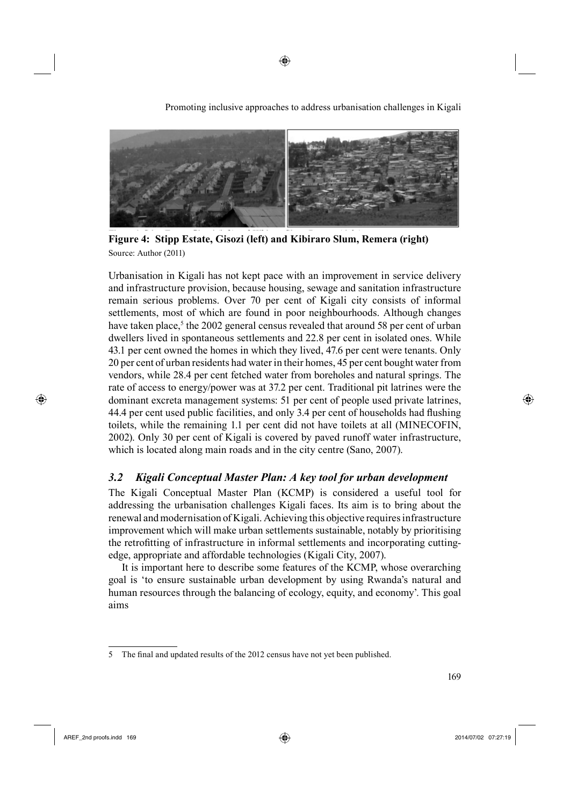

◈

Promoting inclusive approaches to address urbanisation challenges in Kigali

**Figure 4: Stipp Estate, Gisozi (left) and Kibiraro Slum, Remera (right)** Source: Author (2011)

Urbanisation in Kigali has not kept pace with an improvement in service delivery and infrastructure provision, because housing, sewage and sanitation infrastructure remain serious problems. Over 70 per cent of Kigali city consists of informal settlements, most of which are found in poor neighbourhoods. Although changes have taken place,<sup>5</sup> the 2002 general census revealed that around 58 per cent of urban dwellers lived in spontaneous settlements and 22.8 per cent in isolated ones. While 43.1 per cent owned the homes in which they lived, 47.6 per cent were tenants. Only 20 per cent of urban residents had water in their homes, 45 per cent bought water from vendors, while 28.4 per cent fetched water from boreholes and natural springs. The rate of access to energy/power was at 37.2 per cent. Traditional pit latrines were the dominant excreta management systems: 51 per cent of people used private latrines, 44.4 per cent used public facilities, and only 3.4 per cent of households had flushing toilets, while the remaining 1.1 per cent did not have toilets at all (MINECOFIN, 2002). Only 30 per cent of Kigali is covered by paved runoff water infrastructure, which is located along main roads and in the city centre (Sano, 2007).

# *3.2 Kigali Conceptual Master Plan: A key tool for urban development*

The Kigali Conceptual Master Plan (KCMP) is considered a useful tool for addressing the urbanisation challenges Kigali faces. Its aim is to bring about the renewal and modernisation of Kigali. Achieving this objective requires infrastructure improvement which will make urban settlements sustainable, notably by prioritising the retrofitting of infrastructure in informal settlements and incorporating cuttingedge, appropriate and affordable technologies (Kigali City, 2007).

It is important here to describe some features of the KCMP, whose overarching goal is 'to ensure sustainable urban development by using Rwanda's natural and human resources through the balancing of ecology, equity, and economy'. This goal aims

⊕

<sup>5</sup> The final and updated results of the 2012 census have not yet been published.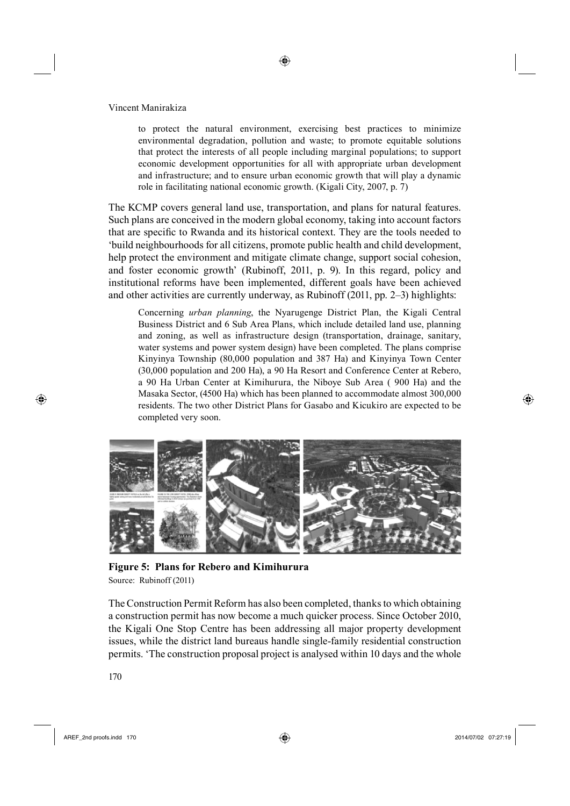to protect the natural environment, exercising best practices to minimize environmental degradation, pollution and waste; to promote equitable solutions that protect the interests of all people including marginal populations; to support economic development opportunities for all with appropriate urban development and infrastructure; and to ensure urban economic growth that will play a dynamic role in facilitating national economic growth. (Kigali City, 2007, p. 7)

◈

The KCMP covers general land use, transportation, and plans for natural features. Such plans are conceived in the modern global economy, taking into account factors that are specific to Rwanda and its historical context. They are the tools needed to 'build neighbourhoods for all citizens, promote public health and child development, help protect the environment and mitigate climate change, support social cohesion, and foster economic growth' (Rubinoff, 2011, p. 9). In this regard, policy and institutional reforms have been implemented, different goals have been achieved and other activities are currently underway, as Rubinoff (2011, pp. 2–3) highlights:

Concerning *urban planning*, the Nyarugenge District Plan, the Kigali Central Business District and 6 Sub Area Plans, which include detailed land use, planning and zoning, as well as infrastructure design (transportation, drainage, sanitary, water systems and power system design) have been completed. The plans comprise Kinyinya Township (80,000 population and 387 Ha) and Kinyinya Town Center (30,000 population and 200 Ha), a 90 Ha Resort and Conference Center at Rebero, a 90 Ha Urban Center at Kimihurura, the Niboye Sub Area ( 900 Ha) and the Masaka Sector, (4500 Ha) which has been planned to accommodate almost 300,000 residents. The two other District Plans for Gasabo and Kicukiro are expected to be completed very soon.



**Figure 5: Plans for Rebero and Kimihurura** Source: Rubinoff (2011)

The Construction Permit Reform has also been completed, thanks to which obtaining a construction permit has now become a much quicker process. Since October 2010, the Kigali One Stop Centre has been addressing all major property development issues, while the district land bureaus handle single-family residential construction permits. 'The construction proposal project is analysed within 10 days and the whole

 $\bigoplus$  AREF\_2nd proofs.indd 170 2014/07/02 07:27:19

⊕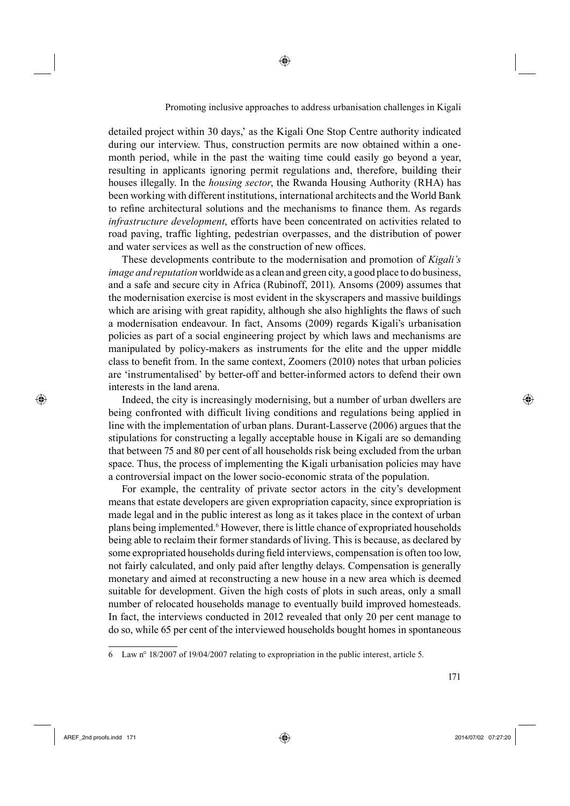detailed project within 30 days,' as the Kigali One Stop Centre authority indicated during our interview. Thus, construction permits are now obtained within a onemonth period, while in the past the waiting time could easily go beyond a year, resulting in applicants ignoring permit regulations and, therefore, building their houses illegally. In the *housing sector*, the Rwanda Housing Authority (RHA) has been working with different institutions, international architects and the World Bank to refine architectural solutions and the mechanisms to finance them. As regards *infrastructure development*, efforts have been concentrated on activities related to road paving, traffic lighting, pedestrian overpasses, and the distribution of power and water services as well as the construction of new offices.

◈

These developments contribute to the modernisation and promotion of *Kigali's image and reputation* worldwide as a clean and green city, a good place to do business, and a safe and secure city in Africa (Rubinoff, 2011). Ansoms (2009) assumes that the modernisation exercise is most evident in the skyscrapers and massive buildings which are arising with great rapidity, although she also highlights the flaws of such a modernisation endeavour. In fact, Ansoms (2009) regards Kigali's urbanisation policies as part of a social engineering project by which laws and mechanisms are manipulated by policy-makers as instruments for the elite and the upper middle class to benefit from. In the same context, Zoomers (2010) notes that urban policies are 'instrumentalised' by better-off and better-informed actors to defend their own interests in the land arena.

Indeed, the city is increasingly modernising, but a number of urban dwellers are being confronted with difficult living conditions and regulations being applied in line with the implementation of urban plans. Durant-Lasserve (2006) argues that the stipulations for constructing a legally acceptable house in Kigali are so demanding that between 75 and 80 per cent of all households risk being excluded from the urban space. Thus, the process of implementing the Kigali urbanisation policies may have a controversial impact on the lower socio-economic strata of the population.

For example, the centrality of private sector actors in the city's development means that estate developers are given expropriation capacity, since expropriation is made legal and in the public interest as long as it takes place in the context of urban plans being implemented.<sup>6</sup> However, there is little chance of expropriated households being able to reclaim their former standards of living. This is because, as declared by some expropriated households during field interviews, compensation is often too low, not fairly calculated, and only paid after lengthy delays. Compensation is generally monetary and aimed at reconstructing a new house in a new area which is deemed suitable for development. Given the high costs of plots in such areas, only a small number of relocated households manage to eventually build improved homesteads. In fact, the interviews conducted in 2012 revealed that only 20 per cent manage to do so, while 65 per cent of the interviewed households bought homes in spontaneous

⊕

<sup>6</sup> Law n° 18/2007 of 19/04/2007 relating to expropriation in the public interest, article 5.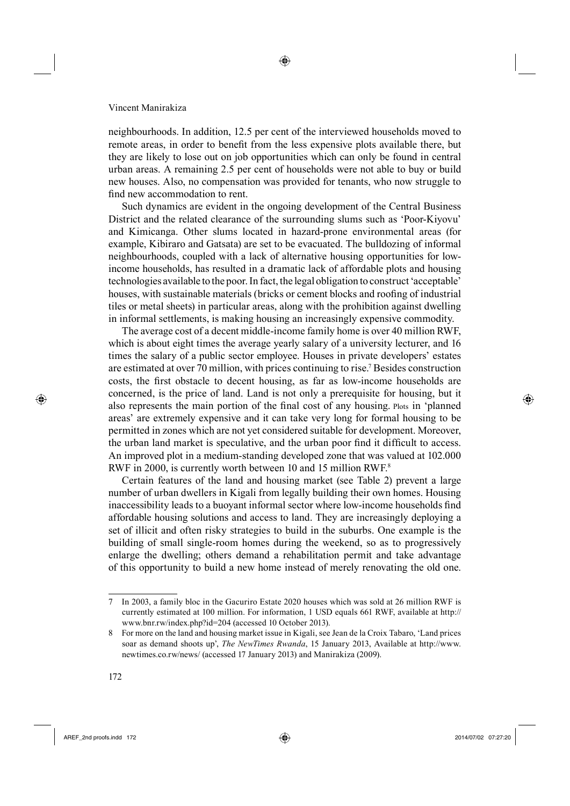neighbourhoods. In addition, 12.5 per cent of the interviewed households moved to remote areas, in order to benefit from the less expensive plots available there, but they are likely to lose out on job opportunities which can only be found in central urban areas. A remaining 2.5 per cent of households were not able to buy or build new houses. Also, no compensation was provided for tenants, who now struggle to find new accommodation to rent.

Such dynamics are evident in the ongoing development of the Central Business District and the related clearance of the surrounding slums such as 'Poor-Kiyovu' and Kimicanga. Other slums located in hazard-prone environmental areas (for example, Kibiraro and Gatsata) are set to be evacuated. The bulldozing of informal neighbourhoods, coupled with a lack of alternative housing opportunities for lowincome households, has resulted in a dramatic lack of affordable plots and housing technologies available to the poor. In fact, the legal obligation to construct 'acceptable' houses, with sustainable materials (bricks or cement blocks and roofing of industrial tiles or metal sheets) in particular areas, along with the prohibition against dwelling in informal settlements, is making housing an increasingly expensive commodity.

The average cost of a decent middle-income family home is over 40 million RWF, which is about eight times the average yearly salary of a university lecturer, and 16 times the salary of a public sector employee. Houses in private developers' estates are estimated at over 70 million, with prices continuing to rise.<sup>7</sup> Besides construction costs, the first obstacle to decent housing, as far as low-income households are concerned, is the price of land. Land is not only a prerequisite for housing, but it also represents the main portion of the final cost of any housing. Plots in 'planned areas' are extremely expensive and it can take very long for formal housing to be permitted in zones which are not yet considered suitable for development. Moreover, the urban land market is speculative, and the urban poor find it difficult to access. An improved plot in a medium-standing developed zone that was valued at 102.000 RWF in 2000, is currently worth between 10 and 15 million RWF.<sup>8</sup>

Certain features of the land and housing market (see Table 2) prevent a large number of urban dwellers in Kigali from legally building their own homes. Housing inaccessibility leads to a buoyant informal sector where low-income households find affordable housing solutions and access to land. They are increasingly deploying a set of illicit and often risky strategies to build in the suburbs. One example is the building of small single-room homes during the weekend, so as to progressively enlarge the dwelling; others demand a rehabilitation permit and take advantage of this opportunity to build a new home instead of merely renovating the old one.

⊕

AREF\_2nd proofs.indd 172 2014/07/02 07:27:20

<sup>7</sup> In 2003, a family bloc in the Gacuriro Estate 2020 houses which was sold at 26 million RWF is currently estimated at 100 million. For information, 1 USD equals 661 RWF, available at http:// www.bnr.rw/index.php?id=204 (accessed 10 October 2013).

<sup>8</sup> For more on the land and housing market issue in Kigali, see Jean de la Croix Tabaro, 'Land prices soar as demand shoots up', *The NewTimes Rwanda*, 15 January 2013, Available at http://www. newtimes.co.rw/news/ (accessed 17 January 2013) and Manirakiza (2009).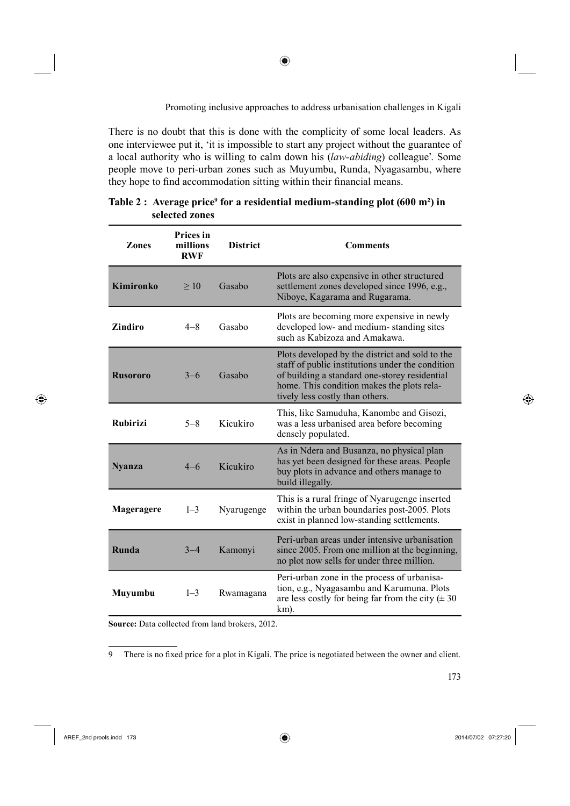There is no doubt that this is done with the complicity of some local leaders. As one interviewee put it, 'it is impossible to start any project without the guarantee of a local authority who is willing to calm down his (*law-abiding*) colleague'. Some people move to peri-urban zones such as Muyumbu, Runda, Nyagasambu, where they hope to find accommodation sitting within their financial means.

⊕

| <b>Zones</b>     | <b>Prices</b> in<br>millions<br><b>RWF</b> | <b>District</b> | <b>Comments</b>                                                                                                                                                                                                                       |
|------------------|--------------------------------------------|-----------------|---------------------------------------------------------------------------------------------------------------------------------------------------------------------------------------------------------------------------------------|
| <b>Kimironko</b> | >10                                        | Gasabo          | Plots are also expensive in other structured<br>settlement zones developed since 1996, e.g.,<br>Niboye, Kagarama and Rugarama.                                                                                                        |
| Zindiro          | $4 - 8$                                    | Gasabo          | Plots are becoming more expensive in newly<br>developed low- and medium-standing sites<br>such as Kabizoza and Amakawa.                                                                                                               |
| <b>Rusororo</b>  | $3 - 6$                                    | Gasabo          | Plots developed by the district and sold to the<br>staff of public institutions under the condition<br>of building a standard one-storey residential<br>home. This condition makes the plots rela-<br>tively less costly than others. |
| <b>Rubirizi</b>  | $5 - 8$                                    | Kicukiro        | This, like Samuduha, Kanombe and Gisozi,<br>was a less urbanised area before becoming<br>densely populated.                                                                                                                           |
| <b>Nyanza</b>    | $4 - 6$                                    | Kicukiro        | As in Ndera and Busanza, no physical plan<br>has yet been designed for these areas. People<br>buy plots in advance and others manage to<br>build illegally.                                                                           |
| Mageragere       | $1 - 3$                                    | Nyarugenge      | This is a rural fringe of Nyarugenge inserted<br>within the urban boundaries post-2005. Plots<br>exist in planned low-standing settlements.                                                                                           |
| Runda            | $3 - 4$                                    | Kamonyi         | Peri-urban areas under intensive urbanisation<br>since 2005. From one million at the beginning,<br>no plot now sells for under three million.                                                                                         |
| <b>Muyumbu</b>   | $1 - 3$                                    | Rwamagana       | Peri-urban zone in the process of urbanisa-<br>tion, e.g., Nyagasambu and Karumuna. Plots<br>are less costly for being far from the city $(\pm 30)$<br>km).                                                                           |

Table 2 : Average price<sup>9</sup> for a residential medium-standing plot (600 m<sup>2</sup>) in **selected zones**

**Source:** Data collected from land brokers, 2012.

9 There is no fixed price for a plot in Kigali. The price is negotiated between the owner and client.

⊕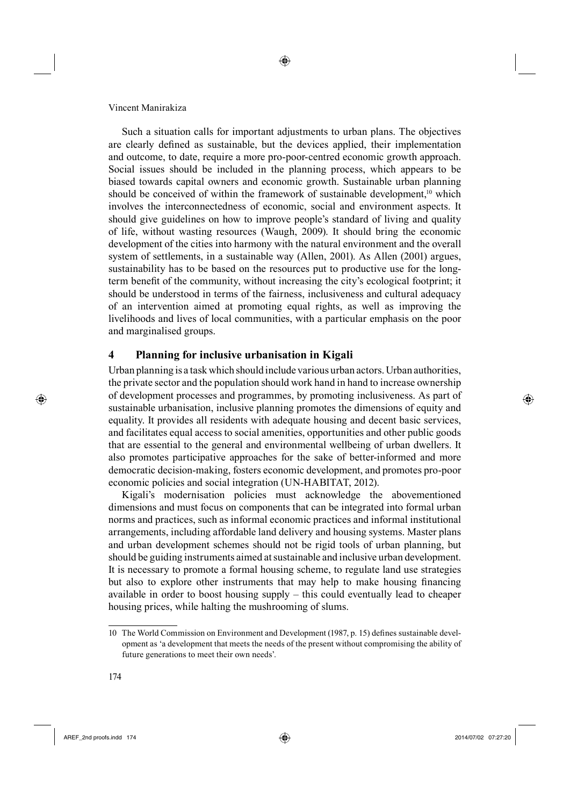Such a situation calls for important adjustments to urban plans. The objectives are clearly defined as sustainable, but the devices applied, their implementation and outcome, to date, require a more pro-poor-centred economic growth approach. Social issues should be included in the planning process, which appears to be biased towards capital owners and economic growth. Sustainable urban planning should be conceived of within the framework of sustainable development,<sup>10</sup> which involves the interconnectedness of economic, social and environment aspects. It should give guidelines on how to improve people's standard of living and quality of life, without wasting resources (Waugh, 2009). It should bring the economic development of the cities into harmony with the natural environment and the overall system of settlements, in a sustainable way (Allen, 2001). As Allen (2001) argues, sustainability has to be based on the resources put to productive use for the longterm benefit of the community, without increasing the city's ecological footprint; it should be understood in terms of the fairness, inclusiveness and cultural adequacy of an intervention aimed at promoting equal rights, as well as improving the livelihoods and lives of local communities, with a particular emphasis on the poor and marginalised groups.

# **4 Planning for inclusive urbanisation in Kigali**

Urban planning is a task which should include various urban actors. Urban authorities, the private sector and the population should work hand in hand to increase ownership of development processes and programmes, by promoting inclusiveness. As part of sustainable urbanisation, inclusive planning promotes the dimensions of equity and equality. It provides all residents with adequate housing and decent basic services, and facilitates equal access to social amenities, opportunities and other public goods that are essential to the general and environmental wellbeing of urban dwellers. It also promotes participative approaches for the sake of better-informed and more democratic decision-making, fosters economic development, and promotes pro-poor economic policies and social integration (UN-HABITAT, 2012).

Kigali's modernisation policies must acknowledge the abovementioned dimensions and must focus on components that can be integrated into formal urban norms and practices, such as informal economic practices and informal institutional arrangements, including affordable land delivery and housing systems. Master plans and urban development schemes should not be rigid tools of urban planning, but should be guiding instruments aimed at sustainable and inclusive urban development. It is necessary to promote a formal housing scheme, to regulate land use strategies but also to explore other instruments that may help to make housing financing available in order to boost housing supply – this could eventually lead to cheaper housing prices, while halting the mushrooming of slums.

⊕

AREF\_2nd proofs.indd 174 2014/07/02 07:27:20

<sup>10</sup> The World Commission on Environment and Development (1987, p. 15) defines sustainable development as 'a development that meets the needs of the present without compromising the ability of future generations to meet their own needs'.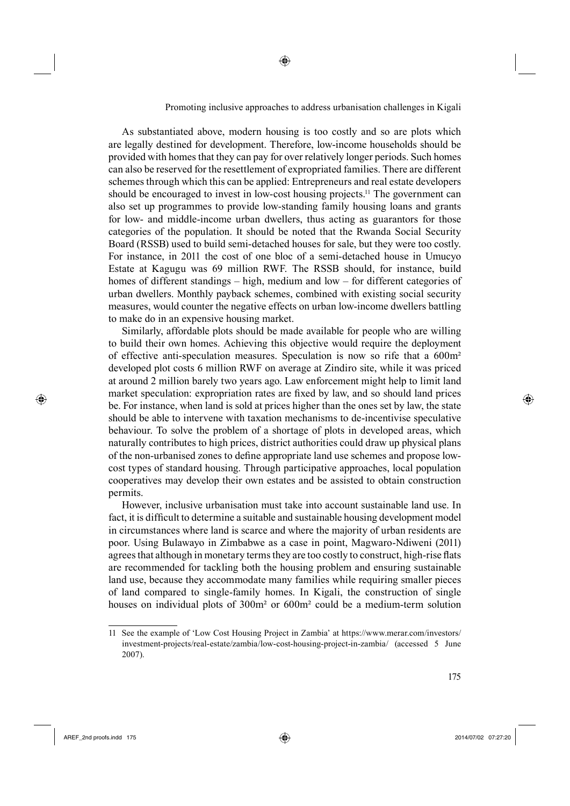As substantiated above, modern housing is too costly and so are plots which are legally destined for development. Therefore, low-income households should be provided with homes that they can pay for over relatively longer periods. Such homes can also be reserved for the resettlement of expropriated families. There are different schemes through which this can be applied: Entrepreneurs and real estate developers should be encouraged to invest in low-cost housing projects.<sup>11</sup> The government can also set up programmes to provide low-standing family housing loans and grants for low- and middle-income urban dwellers, thus acting as guarantors for those categories of the population. It should be noted that the Rwanda Social Security Board (RSSB) used to build semi-detached houses for sale, but they were too costly. For instance, in 2011 the cost of one bloc of a semi-detached house in Umucyo Estate at Kagugu was 69 million RWF. The RSSB should, for instance, build homes of different standings – high, medium and low – for different categories of urban dwellers. Monthly payback schemes, combined with existing social security measures, would counter the negative effects on urban low-income dwellers battling to make do in an expensive housing market.

◈

Similarly, affordable plots should be made available for people who are willing to build their own homes. Achieving this objective would require the deployment of effective anti-speculation measures. Speculation is now so rife that a 600m² developed plot costs 6 million RWF on average at Zindiro site, while it was priced at around 2 million barely two years ago. Law enforcement might help to limit land market speculation: expropriation rates are fixed by law, and so should land prices be. For instance, when land is sold at prices higher than the ones set by law, the state should be able to intervene with taxation mechanisms to de-incentivise speculative behaviour. To solve the problem of a shortage of plots in developed areas, which naturally contributes to high prices, district authorities could draw up physical plans of the non-urbanised zones to define appropriate land use schemes and propose lowcost types of standard housing. Through participative approaches, local population cooperatives may develop their own estates and be assisted to obtain construction permits.

However, inclusive urbanisation must take into account sustainable land use. In fact, it is difficult to determine a suitable and sustainable housing development model in circumstances where land is scarce and where the majority of urban residents are poor. Using Bulawayo in Zimbabwe as a case in point, Magwaro-Ndiweni (2011) agrees that although in monetary terms they are too costly to construct, high-rise flats are recommended for tackling both the housing problem and ensuring sustainable land use, because they accommodate many families while requiring smaller pieces of land compared to single-family homes. In Kigali, the construction of single houses on individual plots of 300m² or 600m² could be a medium-term solution

 $\bigoplus$  AREF\_2nd proofs.indd 175 2014/07/02 07:27:20

⊕

<sup>11</sup> See the example of 'Low Cost Housing Project in Zambia' at https://www.merar.com/investors/ investment-projects/real-estate/zambia/low-cost-housing-project-in-zambia/ (accessed 5 June 2007).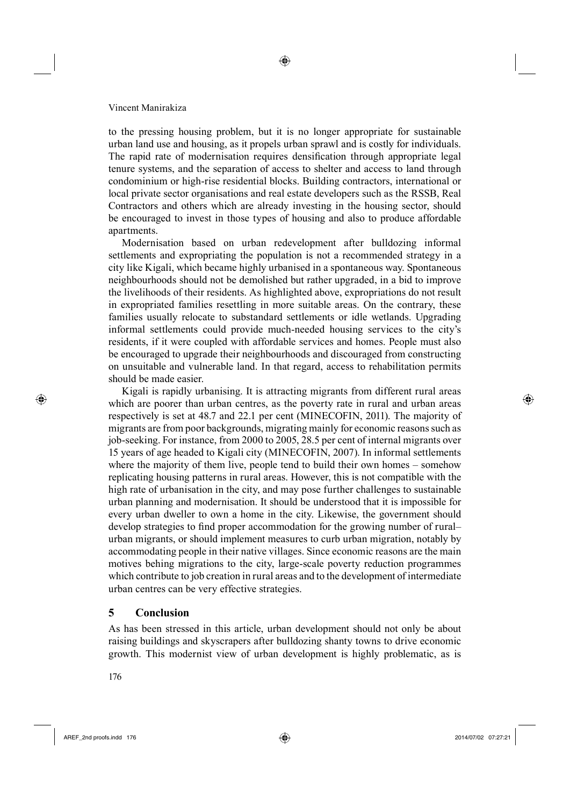to the pressing housing problem, but it is no longer appropriate for sustainable urban land use and housing, as it propels urban sprawl and is costly for individuals. The rapid rate of modernisation requires densification through appropriate legal tenure systems, and the separation of access to shelter and access to land through condominium or high-rise residential blocks. Building contractors, international or local private sector organisations and real estate developers such as the RSSB, Real Contractors and others which are already investing in the housing sector, should be encouraged to invest in those types of housing and also to produce affordable apartments.

Modernisation based on urban redevelopment after bulldozing informal settlements and expropriating the population is not a recommended strategy in a city like Kigali, which became highly urbanised in a spontaneous way. Spontaneous neighbourhoods should not be demolished but rather upgraded, in a bid to improve the livelihoods of their residents. As highlighted above, expropriations do not result in expropriated families resettling in more suitable areas. On the contrary, these families usually relocate to substandard settlements or idle wetlands. Upgrading informal settlements could provide much-needed housing services to the city's residents, if it were coupled with affordable services and homes. People must also be encouraged to upgrade their neighbourhoods and discouraged from constructing on unsuitable and vulnerable land. In that regard, access to rehabilitation permits should be made easier.

Kigali is rapidly urbanising. It is attracting migrants from different rural areas which are poorer than urban centres, as the poverty rate in rural and urban areas respectively is set at 48.7 and 22.1 per cent (MINECOFIN, 2011). The majority of migrants are from poor backgrounds, migrating mainly for economic reasons such as job-seeking. For instance, from 2000 to 2005, 28.5 per cent of internal migrants over 15 years of age headed to Kigali city (MINECOFIN, 2007). In informal settlements where the majority of them live, people tend to build their own homes – somehow replicating housing patterns in rural areas. However, this is not compatible with the high rate of urbanisation in the city, and may pose further challenges to sustainable urban planning and modernisation. It should be understood that it is impossible for every urban dweller to own a home in the city. Likewise, the government should develop strategies to find proper accommodation for the growing number of rural– urban migrants, or should implement measures to curb urban migration, notably by accommodating people in their native villages. Since economic reasons are the main motives behing migrations to the city, large-scale poverty reduction programmes which contribute to job creation in rural areas and to the development of intermediate urban centres can be very effective strategies.

# **5 Conclusion**

As has been stressed in this article, urban development should not only be about raising buildings and skyscrapers after bulldozing shanty towns to drive economic growth. This modernist view of urban development is highly problematic, as is

5176

⊕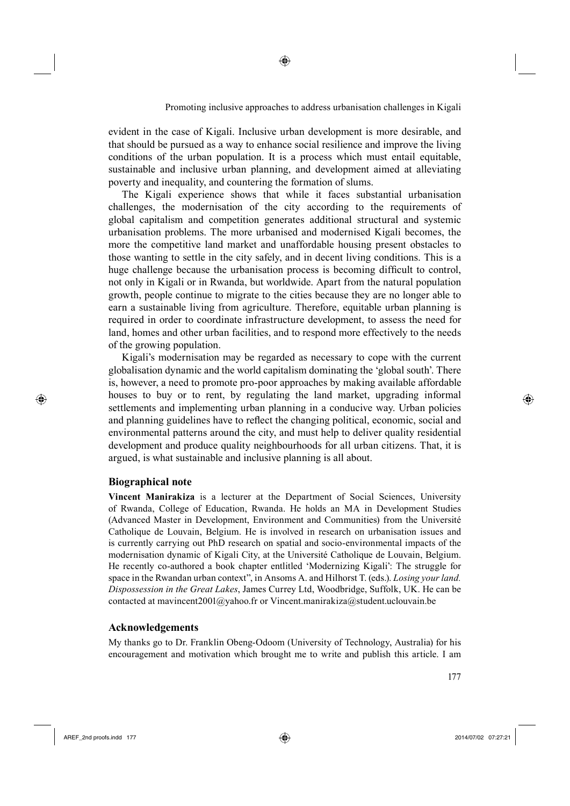evident in the case of Kigali. Inclusive urban development is more desirable, and that should be pursued as a way to enhance social resilience and improve the living conditions of the urban population. It is a process which must entail equitable, sustainable and inclusive urban planning, and development aimed at alleviating poverty and inequality, and countering the formation of slums.

⊕

The Kigali experience shows that while it faces substantial urbanisation challenges, the modernisation of the city according to the requirements of global capitalism and competition generates additional structural and systemic urbanisation problems. The more urbanised and modernised Kigali becomes, the more the competitive land market and unaffordable housing present obstacles to those wanting to settle in the city safely, and in decent living conditions. This is a huge challenge because the urbanisation process is becoming difficult to control, not only in Kigali or in Rwanda, but worldwide. Apart from the natural population growth, people continue to migrate to the cities because they are no longer able to earn a sustainable living from agriculture. Therefore, equitable urban planning is required in order to coordinate infrastructure development, to assess the need for land, homes and other urban facilities, and to respond more effectively to the needs of the growing population.

Kigali's modernisation may be regarded as necessary to cope with the current globalisation dynamic and the world capitalism dominating the 'global south'. There is, however, a need to promote pro-poor approaches by making available affordable houses to buy or to rent, by regulating the land market, upgrading informal settlements and implementing urban planning in a conducive way. Urban policies and planning guidelines have to reflect the changing political, economic, social and environmental patterns around the city, and must help to deliver quality residential development and produce quality neighbourhoods for all urban citizens. That, it is argued, is what sustainable and inclusive planning is all about.

## **Biographical note**

⊕

**Vincent Manirakiza** is a lecturer at the Department of Social Sciences, University of Rwanda, College of Education, Rwanda. He holds an MA in Development Studies (Advanced Master in Development, Environment and Communities) from the Université Catholique de Louvain, Belgium. He is involved in research on urbanisation issues and is currently carrying out PhD research on spatial and socio-environmental impacts of the modernisation dynamic of Kigali City, at the Université Catholique de Louvain, Belgium. He recently co-authored a book chapter entlitled 'Modernizing Kigali': The struggle for space in the Rwandan urban context", in Ansoms A. and Hilhorst T. (eds.). *Losing your land. Dispossession in the Great Lakes*, James Currey Ltd, Woodbridge, Suffolk, UK. He can be contacted at mavincent2001@yahoo.fr or Vincent.manirakiza@student.uclouvain.be

#### **Acknowledgements**

My thanks go to Dr. Franklin Obeng-Odoom (University of Technology, Australia) for his encouragement and motivation which brought me to write and publish this article. I am

 $AREF\_2$ nd proofs.indd 177 2014/07/02 07:27:21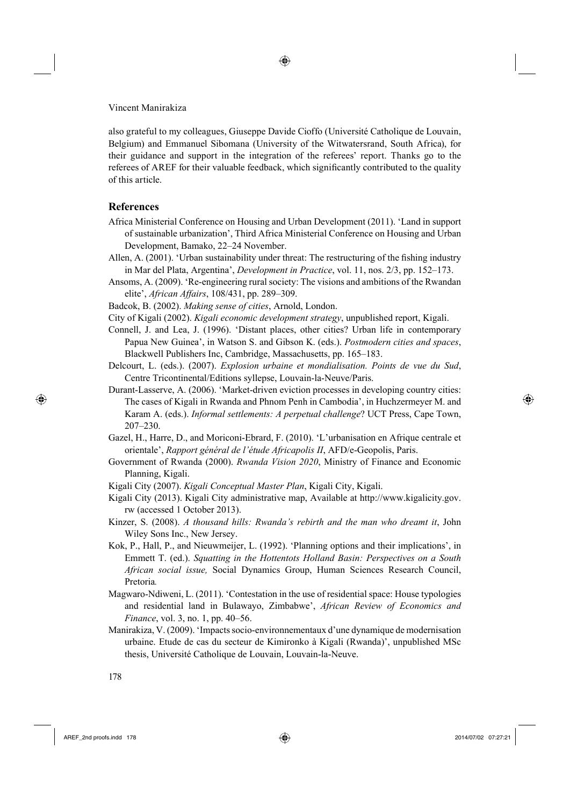also grateful to my colleagues, Giuseppe Davide Cioffo (Université Catholique de Louvain, Belgium) and Emmanuel Sibomana (University of the Witwatersrand, South Africa), for their guidance and support in the integration of the referees' report. Thanks go to the referees of AREF for their valuable feedback, which significantly contributed to the quality of this article.

◈

## **References**

- Africa Ministerial Conference on Housing and Urban Development (2011). 'Land in support of sustainable urbanization', Third Africa Ministerial Conference on Housing and Urban Development, Bamako, 22–24 November.
- Allen, A. (2001). 'Urban sustainability under threat: The restructuring of the fishing industry in Mar del Plata, Argentina', *Development in Practice*, vol. 11, nos. 2/3, pp. 152–173.
- Ansoms, A. (2009). 'Re-engineering rural society: The visions and ambitions of the Rwandan elite', *African Affairs*, 108/431, pp. 289–309.

Badcok, B. (2002). *Making sense of cities*, Arnold, London.

- City of Kigali (2002). *Kigali economic development strategy*, unpublished report, Kigali.
- Connell, J. and Lea, J. (1996). 'Distant places, other cities? Urban life in contemporary Papua New Guinea', in Watson S. and Gibson K. (eds.). *Postmodern cities and spaces*, Blackwell Publishers Inc, Cambridge, Massachusetts, pp. 165–183.
- Delcourt, L. (eds.). (2007). *Explosion urbaine et mondialisation. Points de vue du Sud*, Centre Tricontinental/Editions syllepse, Louvain-la-Neuve/Paris.
- Durant-Lasserve, A. (2006). 'Market-driven eviction processes in developing country cities: The cases of Kigali in Rwanda and Phnom Penh in Cambodia', in Huchzermeyer M. and Karam A. (eds.). *Informal settlements: A perpetual challenge*? UCT Press, Cape Town, 207–230.
- Gazel, H., Harre, D., and Moriconi-Ebrard, F. (2010). 'L'urbanisation en Afrique centrale et orientale', *Rapport général de l'étude Africapolis II*, AFD/e-Geopolis, Paris.
- Government of Rwanda (2000). *Rwanda Vision 2020*, Ministry of Finance and Economic Planning, Kigali.
- Kigali City (2007). *Kigali Conceptual Master Plan*, Kigali City, Kigali.
- Kigali City (2013). Kigali City administrative map, Available at http://www.kigalicity.gov. rw (accessed 1 October 2013).
- Kinzer, S. (2008). *A thousand hills: Rwanda's rebirth and the man who dreamt it*, John Wiley Sons Inc., New Jersey.
- Kok, P., Hall, P., and Nieuwmeijer, L. (1992). 'Planning options and their implications', in Emmett T. (ed.). *Squatting in the Hottentots Holland Basin: Perspectives on a South African social issue,* Social Dynamics Group, Human Sciences Research Council, Pretoria*.*
- Magwaro-Ndiweni, L. (2011). 'Contestation in the use of residential space: House typologies and residential land in Bulawayo, Zimbabwe', *African Review of Economics and Finance*, vol. 3, no. 1, pp. 40–56.
- Manirakiza, V. (2009). 'Impacts socio-environnementaux d'une dynamique de modernisation urbaine. Etude de cas du secteur de Kimironko à Kigali (Rwanda)', unpublished MSc thesis, Université Catholique de Louvain, Louvain-la-Neuve.

⊕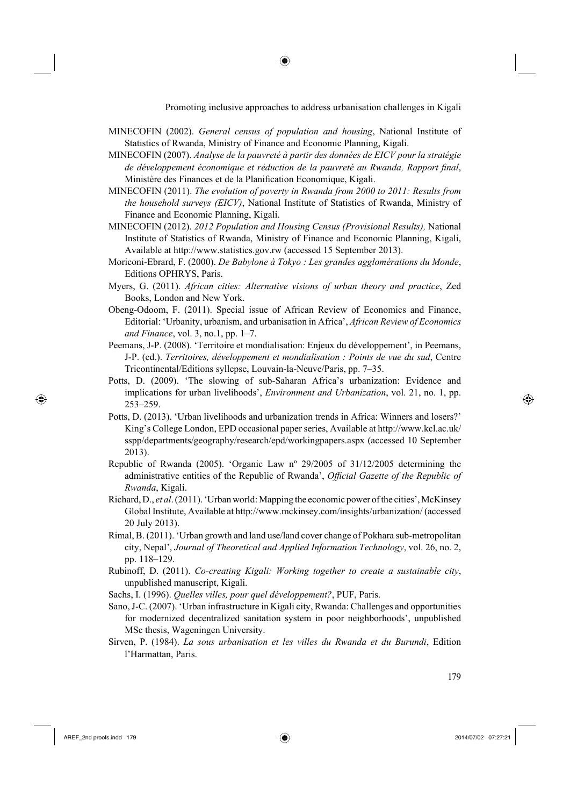MINECOFIN (2002). *General census of population and housing*, National Institute of Statistics of Rwanda, Ministry of Finance and Economic Planning, Kigali.

◈

- MINECOFIN (2007). *Analyse de la pauvreté à partir des données de EICV pour la stratégie de développement économique et réduction de la pauvreté au Rwanda, Rapport final,* Ministère des Finances et de la Planification Economique, Kigali.
- MINECOFIN (2011). *The evolution of poverty in Rwanda from 2000 to 2011: Results from the household surveys (EICV)*, National Institute of Statistics of Rwanda, Ministry of Finance and Economic Planning, Kigali.
- MINECOFIN (2012). *2012 Population and Housing Census (Provisional Results),* National Institute of Statistics of Rwanda, Ministry of Finance and Economic Planning, Kigali, Available at http://www.statistics.gov.rw (accessed 15 September 2013).
- Moriconi-Ebrard, F. (2000). *De Babylone à Tokyo : Les grandes agglomérations du Monde*, Editions OPHRYS, Paris.
- Myers, G. (2011). *African cities: Alternative visions of urban theory and practice*, Zed Books, London and New York.
- Obeng-Odoom, F. (2011). Special issue of African Review of Economics and Finance, Editorial: 'Urbanity, urbanism, and urbanisation in Africa', *African Review of Economics and Finance*, vol. 3, no.1, pp. 1–7.
- Peemans, J-P. (2008). 'Territoire et mondialisation: Enjeux du développement', in Peemans, J-P. (ed.). *Territoires, développement et mondialisation : Points de vue du sud*, Centre Tricontinental/Editions syllepse, Louvain-la-Neuve/Paris, pp. 7–35.
- Potts, D. (2009). 'The slowing of sub-Saharan Africa's urbanization: Evidence and implications for urban livelihoods', *Environment and Urbanization*, vol. 21, no. 1, pp. 253–259.
- Potts, D. (2013). 'Urban livelihoods and urbanization trends in Africa: Winners and losers?' King's College London, EPD occasional paper series, Available at http://www.kcl.ac.uk/ sspp/departments/geography/research/epd/workingpapers.aspx (accessed 10 September 2013).
- Republic of Rwanda (2005). 'Organic Law nº 29/2005 of 31/12/2005 determining the administrative entities of the Republic of Rwanda', *Official Gazette of the Republic of Rwanda*, Kigali.
- Richard, D., *et al*. (2011). 'Urban world: Mapping the economic power of the cities', McKinsey Global Institute, Available at http://www.mckinsey.com/insights/urbanization/ (accessed 20 July 2013).
- Rimal, B. (2011). 'Urban growth and land use/land cover change of Pokhara sub-metropolitan city, Nepal', *Journal of Theoretical and Applied Information Technology*, vol. 26, no. 2, pp. 118–129.
- Rubinoff, D. (2011). *Co-creating Kigali: Working together to create a sustainable city*, unpublished manuscript, Kigali.
- Sachs, I. (1996). *Quelles villes, pour quel développement?*, PUF, Paris.
- Sano, J-C. (2007). 'Urban infrastructure in Kigali city, Rwanda: Challenges and opportunities for modernized decentralized sanitation system in poor neighborhoods', unpublished MSc thesis, Wageningen University.
- Sirven, P. (1984). *La sous urbanisation et les villes du Rwanda et du Burundi*, Edition l'Harmattan, Paris.

⊕